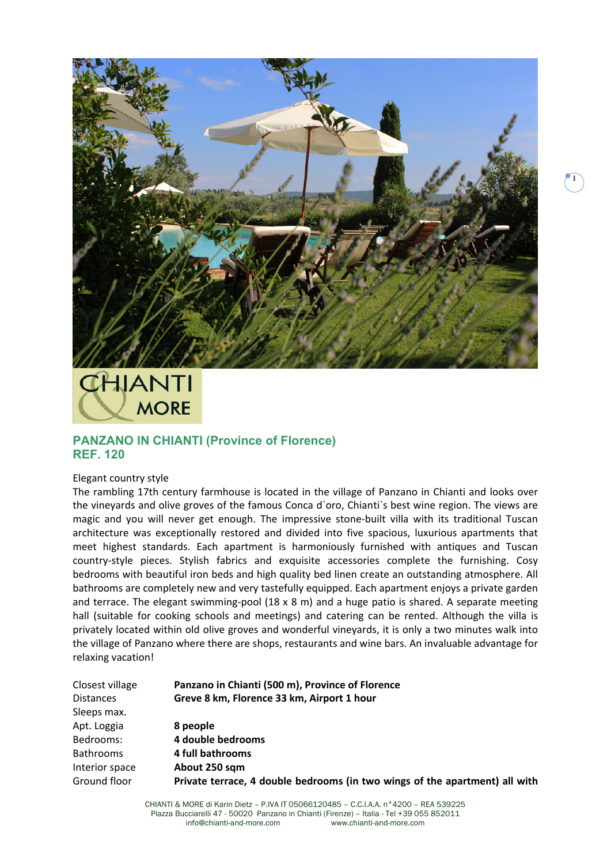

## **THIANTI MORE**

## **PANZANO IN CHIANTI (Province of Florence) REF. 120**

## Elegant country style

The rambling 17th century farmhouse is located in the village of Panzano in Chianti and looks over the vineyards and olive groves of the famous Conca d`oro, Chianti`s best wine region. The views are magic and you will never get enough. The impressive stone-built villa with its traditional Tuscan architecture was exceptionally restored and divided into five spacious, luxurious apartments that meet highest standards. Each apartment is harmoniously furnished with antiques and Tuscan country‐style pieces. Stylish fabrics and exquisite accessories complete the furnishing. Cosy bedrooms with beautiful iron beds and high quality bed linen create an outstanding atmosphere. All bathrooms are completely new and very tastefully equipped. Each apartment enjoys a private garden and terrace. The elegant swimming-pool  $(18 \times 8 \text{ m})$  and a huge patio is shared. A separate meeting hall (suitable for cooking schools and meetings) and catering can be rented. Although the villa is privately located within old olive groves and wonderful vineyards, it is only a two minutes walk into the village of Panzano where there are shops, restaurants and wine bars. An invaluable advantage for relaxing vacation!

| Panzano in Chianti (500 m), Province of Florence                            |
|-----------------------------------------------------------------------------|
| Greve 8 km, Florence 33 km, Airport 1 hour                                  |
|                                                                             |
| 8 people                                                                    |
| 4 double bedrooms                                                           |
| 4 full bathrooms                                                            |
| About 250 sqm                                                               |
| Private terrace, 4 double bedrooms (in two wings of the apartment) all with |
|                                                                             |